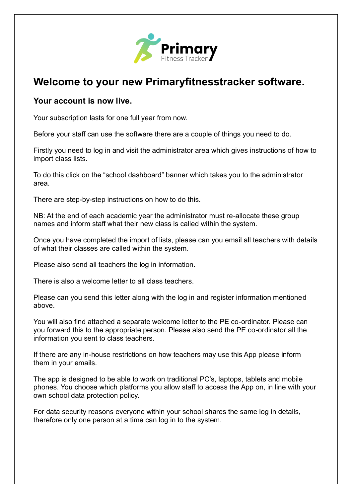

## **Welcome to your new Primaryfitnesstracker software.**

## **Your account is now live.**

Your subscription lasts for one full year from now.

Before your staff can use the software there are a couple of things you need to do.

Firstly you need to log in and visit the administrator area which gives instructions of how to import class lists.

To do this click on the "school dashboard" banner which takes you to the administrator area.

There are step-by-step instructions on how to do this.

NB: At the end of each academic year the administrator must re-allocate these group names and inform staff what their new class is called within the system.

Once you have completed the import of lists, please can you email all teachers with details of what their classes are called within the system.

Please also send all teachers the log in information.

There is also a welcome letter to all class teachers.

Please can you send this letter along with the log in and register information mentioned above.

You will also find attached a separate welcome letter to the PE co-ordinator. Please can you forward this to the appropriate person. Please also send the PE co-ordinator all the information you sent to class teachers.

If there are any in-house restrictions on how teachers may use this App please inform them in your emails.

The app is designed to be able to work on traditional PC's, laptops, tablets and mobile phones. You choose which platforms you allow staff to access the App on, in line with your own school data protection policy.

For data security reasons everyone within your school shares the same log in details, therefore only one person at a time can log in to the system.